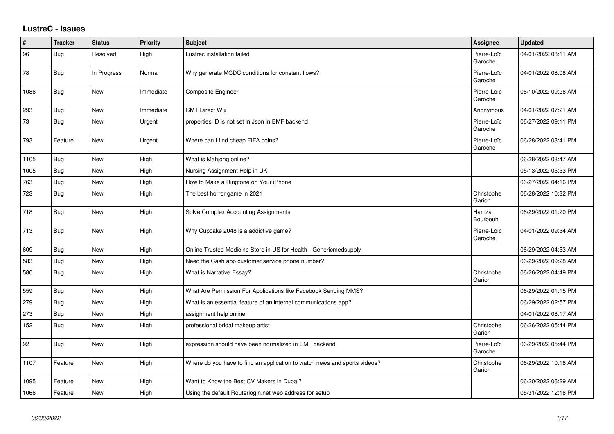## **LustreC - Issues**

| $\#$ | <b>Tracker</b> | <b>Status</b> | <b>Priority</b> | <b>Subject</b>                                                            | <b>Assignee</b>        | <b>Updated</b>      |
|------|----------------|---------------|-----------------|---------------------------------------------------------------------------|------------------------|---------------------|
| 96   | <b>Bug</b>     | Resolved      | High            | Lustrec installation failed                                               | Pierre-Loïc<br>Garoche | 04/01/2022 08:11 AM |
| 78   | <b>Bug</b>     | In Progress   | Normal          | Why generate MCDC conditions for constant flows?                          | Pierre-Loïc<br>Garoche | 04/01/2022 08:08 AM |
| 1086 | <b>Bug</b>     | <b>New</b>    | Immediate       | <b>Composite Engineer</b>                                                 | Pierre-Loïc<br>Garoche | 06/10/2022 09:26 AM |
| 293  | <b>Bug</b>     | <b>New</b>    | Immediate       | <b>CMT Direct Wix</b>                                                     | Anonymous              | 04/01/2022 07:21 AM |
| 73   | <b>Bug</b>     | <b>New</b>    | Urgent          | properties ID is not set in Json in EMF backend                           | Pierre-Loïc<br>Garoche | 06/27/2022 09:11 PM |
| 793  | Feature        | <b>New</b>    | Urgent          | Where can I find cheap FIFA coins?                                        | Pierre-Loïc<br>Garoche | 06/28/2022 03:41 PM |
| 1105 | <b>Bug</b>     | New           | High            | What is Mahjong online?                                                   |                        | 06/28/2022 03:47 AM |
| 1005 | <b>Bug</b>     | <b>New</b>    | High            | Nursing Assignment Help in UK                                             |                        | 05/13/2022 05:33 PM |
| 763  | <b>Bug</b>     | <b>New</b>    | High            | How to Make a Ringtone on Your iPhone                                     |                        | 06/27/2022 04:16 PM |
| 723  | <b>Bug</b>     | <b>New</b>    | High            | The best horror game in 2021                                              | Christophe<br>Garion   | 06/28/2022 10:32 PM |
| 718  | Bug            | <b>New</b>    | High            | Solve Complex Accounting Assignments                                      | Hamza<br>Bourbouh      | 06/29/2022 01:20 PM |
| 713  | Bug            | <b>New</b>    | High            | Why Cupcake 2048 is a addictive game?                                     | Pierre-Loïc<br>Garoche | 04/01/2022 09:34 AM |
| 609  | <b>Bug</b>     | <b>New</b>    | High            | Online Trusted Medicine Store in US for Health - Genericmedsupply         |                        | 06/29/2022 04:53 AM |
| 583  | <b>Bug</b>     | <b>New</b>    | High            | Need the Cash app customer service phone number?                          |                        | 06/29/2022 09:28 AM |
| 580  | Bug            | <b>New</b>    | High            | What is Narrative Essay?                                                  | Christophe<br>Garion   | 06/26/2022 04:49 PM |
| 559  | <b>Bug</b>     | <b>New</b>    | High            | What Are Permission For Applications like Facebook Sending MMS?           |                        | 06/29/2022 01:15 PM |
| 279  | Bug            | <b>New</b>    | High            | What is an essential feature of an internal communications app?           |                        | 06/29/2022 02:57 PM |
| 273  | <b>Bug</b>     | <b>New</b>    | High            | assignment help online                                                    |                        | 04/01/2022 08:17 AM |
| 152  | <b>Bug</b>     | <b>New</b>    | High            | professional bridal makeup artist                                         | Christophe<br>Garion   | 06/26/2022 05:44 PM |
| 92   | <b>Bug</b>     | <b>New</b>    | High            | expression should have been normalized in EMF backend                     | Pierre-Loïc<br>Garoche | 06/29/2022 05:44 PM |
| 1107 | Feature        | <b>New</b>    | High            | Where do you have to find an application to watch news and sports videos? | Christophe<br>Garion   | 06/29/2022 10:16 AM |
| 1095 | Feature        | <b>New</b>    | High            | Want to Know the Best CV Makers in Dubai?                                 |                        | 06/20/2022 06:29 AM |
| 1066 | Feature        | <b>New</b>    | High            | Using the default Routerlogin.net web address for setup                   |                        | 05/31/2022 12:16 PM |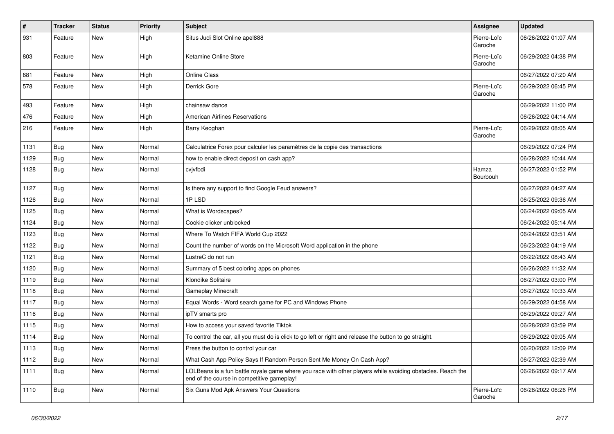| #    | <b>Tracker</b> | <b>Status</b> | <b>Priority</b> | <b>Subject</b>                                                                                                                                           | Assignee               | <b>Updated</b>      |
|------|----------------|---------------|-----------------|----------------------------------------------------------------------------------------------------------------------------------------------------------|------------------------|---------------------|
| 931  | Feature        | New           | High            | Situs Judi Slot Online apel888                                                                                                                           | Pierre-Loïc<br>Garoche | 06/26/2022 01:07 AM |
| 803  | Feature        | New           | High            | Ketamine Online Store                                                                                                                                    | Pierre-Loïc<br>Garoche | 06/29/2022 04:38 PM |
| 681  | Feature        | <b>New</b>    | High            | <b>Online Class</b>                                                                                                                                      |                        | 06/27/2022 07:20 AM |
| 578  | Feature        | New           | High            | Derrick Gore                                                                                                                                             | Pierre-Loïc<br>Garoche | 06/29/2022 06:45 PM |
| 493  | Feature        | <b>New</b>    | High            | chainsaw dance                                                                                                                                           |                        | 06/29/2022 11:00 PM |
| 476  | Feature        | New           | High            | <b>American Airlines Reservations</b>                                                                                                                    |                        | 06/26/2022 04:14 AM |
| 216  | Feature        | New           | High            | Barry Keoghan                                                                                                                                            | Pierre-Loïc<br>Garoche | 06/29/2022 08:05 AM |
| 1131 | <b>Bug</b>     | <b>New</b>    | Normal          | Calculatrice Forex pour calculer les paramètres de la copie des transactions                                                                             |                        | 06/29/2022 07:24 PM |
| 1129 | Bug            | <b>New</b>    | Normal          | how to enable direct deposit on cash app?                                                                                                                |                        | 06/28/2022 10:44 AM |
| 1128 | <b>Bug</b>     | New           | Normal          | cvjvfbdi                                                                                                                                                 | Hamza<br>Bourbouh      | 06/27/2022 01:52 PM |
| 1127 | Bug            | <b>New</b>    | Normal          | Is there any support to find Google Feud answers?                                                                                                        |                        | 06/27/2022 04:27 AM |
| 1126 | Bug            | New           | Normal          | 1PLSD                                                                                                                                                    |                        | 06/25/2022 09:36 AM |
| 1125 | Bug            | <b>New</b>    | Normal          | What is Wordscapes?                                                                                                                                      |                        | 06/24/2022 09:05 AM |
| 1124 | Bug            | New           | Normal          | Cookie clicker unblocked                                                                                                                                 |                        | 06/24/2022 05:14 AM |
| 1123 | Bug            | New           | Normal          | Where To Watch FIFA World Cup 2022                                                                                                                       |                        | 06/24/2022 03:51 AM |
| 1122 | Bug            | <b>New</b>    | Normal          | Count the number of words on the Microsoft Word application in the phone                                                                                 |                        | 06/23/2022 04:19 AM |
| 1121 | <b>Bug</b>     | New           | Normal          | LustreC do not run                                                                                                                                       |                        | 06/22/2022 08:43 AM |
| 1120 | Bug            | New           | Normal          | Summary of 5 best coloring apps on phones                                                                                                                |                        | 06/26/2022 11:32 AM |
| 1119 | Bug            | New           | Normal          | Klondike Solitaire                                                                                                                                       |                        | 06/27/2022 03:00 PM |
| 1118 | <b>Bug</b>     | New           | Normal          | <b>Gameplay Minecraft</b>                                                                                                                                |                        | 06/27/2022 10:33 AM |
| 1117 | Bug            | <b>New</b>    | Normal          | Equal Words - Word search game for PC and Windows Phone                                                                                                  |                        | 06/29/2022 04:58 AM |
| 1116 | Bug            | New           | Normal          | ipTV smarts pro                                                                                                                                          |                        | 06/29/2022 09:27 AM |
| 1115 | Bug            | New           | Normal          | How to access your saved favorite Tiktok                                                                                                                 |                        | 06/28/2022 03:59 PM |
| 1114 | <b>Bug</b>     | New           | Normal          | To control the car, all you must do is click to go left or right and release the button to go straight.                                                  |                        | 06/29/2022 09:05 AM |
| 1113 | <b>Bug</b>     | New           | Normal          | Press the button to control your car                                                                                                                     |                        | 06/20/2022 12:09 PM |
| 1112 | Bug            | <b>New</b>    | Normal          | What Cash App Policy Says If Random Person Sent Me Money On Cash App?                                                                                    |                        | 06/27/2022 02:39 AM |
| 1111 | Bug            | New           | Normal          | LOLBeans is a fun battle royale game where you race with other players while avoiding obstacles. Reach the<br>end of the course in competitive gameplay! |                        | 06/26/2022 09:17 AM |
| 1110 | Bug            | New           | Normal          | Six Guns Mod Apk Answers Your Questions                                                                                                                  | Pierre-Loïc<br>Garoche | 06/28/2022 06:26 PM |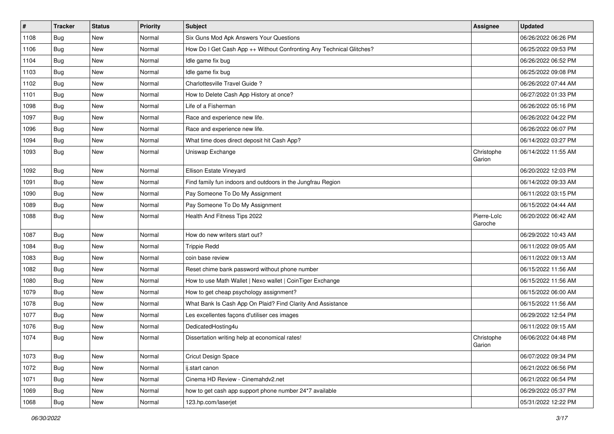| $\pmb{\#}$ | <b>Tracker</b> | <b>Status</b> | <b>Priority</b> | <b>Subject</b>                                                       | <b>Assignee</b>        | <b>Updated</b>      |
|------------|----------------|---------------|-----------------|----------------------------------------------------------------------|------------------------|---------------------|
| 1108       | <b>Bug</b>     | <b>New</b>    | Normal          | Six Guns Mod Apk Answers Your Questions                              |                        | 06/26/2022 06:26 PM |
| 1106       | <b>Bug</b>     | <b>New</b>    | Normal          | How Do I Get Cash App ++ Without Confronting Any Technical Glitches? |                        | 06/25/2022 09:53 PM |
| 1104       | <b>Bug</b>     | <b>New</b>    | Normal          | Idle game fix bug                                                    |                        | 06/26/2022 06:52 PM |
| 1103       | <b>Bug</b>     | <b>New</b>    | Normal          | Idle game fix bug                                                    |                        | 06/25/2022 09:08 PM |
| 1102       | Bug            | <b>New</b>    | Normal          | Charlottesville Travel Guide?                                        |                        | 06/26/2022 07:44 AM |
| 1101       | <b>Bug</b>     | <b>New</b>    | Normal          | How to Delete Cash App History at once?                              |                        | 06/27/2022 01:33 PM |
| 1098       | <b>Bug</b>     | <b>New</b>    | Normal          | Life of a Fisherman                                                  |                        | 06/26/2022 05:16 PM |
| 1097       | <b>Bug</b>     | <b>New</b>    | Normal          | Race and experience new life.                                        |                        | 06/26/2022 04:22 PM |
| 1096       | <b>Bug</b>     | <b>New</b>    | Normal          | Race and experience new life.                                        |                        | 06/26/2022 06:07 PM |
| 1094       | Bug            | <b>New</b>    | Normal          | What time does direct deposit hit Cash App?                          |                        | 06/14/2022 03:27 PM |
| 1093       | <b>Bug</b>     | <b>New</b>    | Normal          | Uniswap Exchange                                                     | Christophe<br>Garion   | 06/14/2022 11:55 AM |
| 1092       | <b>Bug</b>     | <b>New</b>    | Normal          | Ellison Estate Vineyard                                              |                        | 06/20/2022 12:03 PM |
| 1091       | <b>Bug</b>     | <b>New</b>    | Normal          | Find family fun indoors and outdoors in the Jungfrau Region          |                        | 06/14/2022 09:33 AM |
| 1090       | <b>Bug</b>     | <b>New</b>    | Normal          | Pay Someone To Do My Assignment                                      |                        | 06/11/2022 03:15 PM |
| 1089       | <b>Bug</b>     | <b>New</b>    | Normal          | Pay Someone To Do My Assignment                                      |                        | 06/15/2022 04:44 AM |
| 1088       | <b>Bug</b>     | <b>New</b>    | Normal          | Health And Fitness Tips 2022                                         | Pierre-Loïc<br>Garoche | 06/20/2022 06:42 AM |
| 1087       | Bug            | <b>New</b>    | Normal          | How do new writers start out?                                        |                        | 06/29/2022 10:43 AM |
| 1084       | <b>Bug</b>     | <b>New</b>    | Normal          | <b>Trippie Redd</b>                                                  |                        | 06/11/2022 09:05 AM |
| 1083       | Bug            | <b>New</b>    | Normal          | coin base review                                                     |                        | 06/11/2022 09:13 AM |
| 1082       | <b>Bug</b>     | <b>New</b>    | Normal          | Reset chime bank password without phone number                       |                        | 06/15/2022 11:56 AM |
| 1080       | <b>Bug</b>     | <b>New</b>    | Normal          | How to use Math Wallet   Nexo wallet   CoinTiger Exchange            |                        | 06/15/2022 11:56 AM |
| 1079       | <b>Bug</b>     | <b>New</b>    | Normal          | How to get cheap psychology assignment?                              |                        | 06/15/2022 06:00 AM |
| 1078       | <b>Bug</b>     | <b>New</b>    | Normal          | What Bank Is Cash App On Plaid? Find Clarity And Assistance          |                        | 06/15/2022 11:56 AM |
| 1077       | Bug            | <b>New</b>    | Normal          | Les excellentes façons d'utiliser ces images                         |                        | 06/29/2022 12:54 PM |
| 1076       | <b>Bug</b>     | <b>New</b>    | Normal          | DedicatedHosting4u                                                   |                        | 06/11/2022 09:15 AM |
| 1074       | <b>Bug</b>     | <b>New</b>    | Normal          | Dissertation writing help at economical rates!                       | Christophe<br>Garion   | 06/06/2022 04:48 PM |
| 1073       | <b>Bug</b>     | New           | Normal          | <b>Cricut Design Space</b>                                           |                        | 06/07/2022 09:34 PM |
| 1072       | <b>Bug</b>     | New           | Normal          | ij.start canon                                                       |                        | 06/21/2022 06:56 PM |
| 1071       | <b>Bug</b>     | New           | Normal          | Cinema HD Review - Cinemahdv2.net                                    |                        | 06/21/2022 06:54 PM |
| 1069       | <b>Bug</b>     | New           | Normal          | how to get cash app support phone number 24*7 available              |                        | 06/29/2022 05:37 PM |
| 1068       | <b>Bug</b>     | New           | Normal          | 123.hp.com/laserjet                                                  |                        | 05/31/2022 12:22 PM |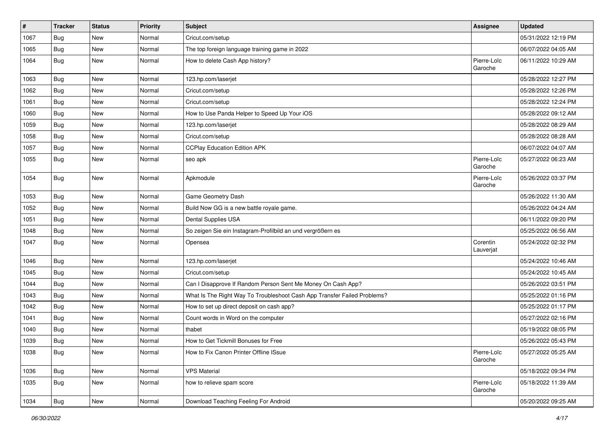| #    | <b>Tracker</b> | <b>Status</b> | <b>Priority</b> | <b>Subject</b>                                                           | <b>Assignee</b>        | <b>Updated</b>      |
|------|----------------|---------------|-----------------|--------------------------------------------------------------------------|------------------------|---------------------|
| 1067 | Bug            | New           | Normal          | Cricut.com/setup                                                         |                        | 05/31/2022 12:19 PM |
| 1065 | <b>Bug</b>     | <b>New</b>    | Normal          | The top foreign language training game in 2022                           |                        | 06/07/2022 04:05 AM |
| 1064 | <b>Bug</b>     | New           | Normal          | How to delete Cash App history?                                          | Pierre-Loïc<br>Garoche | 06/11/2022 10:29 AM |
| 1063 | <b>Bug</b>     | <b>New</b>    | Normal          | 123.hp.com/laserjet                                                      |                        | 05/28/2022 12:27 PM |
| 1062 | Bug            | New           | Normal          | Cricut.com/setup                                                         |                        | 05/28/2022 12:26 PM |
| 1061 | Bug            | <b>New</b>    | Normal          | Cricut.com/setup                                                         |                        | 05/28/2022 12:24 PM |
| 1060 | Bug            | New           | Normal          | How to Use Panda Helper to Speed Up Your iOS                             |                        | 05/28/2022 09:12 AM |
| 1059 | Bug            | <b>New</b>    | Normal          | 123.hp.com/laserjet                                                      |                        | 05/28/2022 08:29 AM |
| 1058 | <b>Bug</b>     | <b>New</b>    | Normal          | Cricut.com/setup                                                         |                        | 05/28/2022 08:28 AM |
| 1057 | Bug            | New           | Normal          | <b>CCPlay Education Edition APK</b>                                      |                        | 06/07/2022 04:07 AM |
| 1055 | <b>Bug</b>     | New           | Normal          | seo apk                                                                  | Pierre-Loïc<br>Garoche | 05/27/2022 06:23 AM |
| 1054 | <b>Bug</b>     | New           | Normal          | Apkmodule                                                                | Pierre-Loïc<br>Garoche | 05/26/2022 03:37 PM |
| 1053 | <b>Bug</b>     | New           | Normal          | Game Geometry Dash                                                       |                        | 05/26/2022 11:30 AM |
| 1052 | Bug            | <b>New</b>    | Normal          | Build Now GG is a new battle royale game.                                |                        | 05/26/2022 04:24 AM |
| 1051 | <b>Bug</b>     | <b>New</b>    | Normal          | Dental Supplies USA                                                      |                        | 06/11/2022 09:20 PM |
| 1048 | Bug            | New           | Normal          | So zeigen Sie ein Instagram-Profilbild an und vergrößern es              |                        | 05/25/2022 06:56 AM |
| 1047 | <b>Bug</b>     | New           | Normal          | Opensea                                                                  | Corentin<br>Lauverjat  | 05/24/2022 02:32 PM |
| 1046 | Bug            | <b>New</b>    | Normal          | 123.hp.com/laserjet                                                      |                        | 05/24/2022 10:46 AM |
| 1045 | Bug            | <b>New</b>    | Normal          | Cricut.com/setup                                                         |                        | 05/24/2022 10:45 AM |
| 1044 | Bug            | New           | Normal          | Can I Disapprove If Random Person Sent Me Money On Cash App?             |                        | 05/26/2022 03:51 PM |
| 1043 | Bug            | <b>New</b>    | Normal          | What Is The Right Way To Troubleshoot Cash App Transfer Failed Problems? |                        | 05/25/2022 01:16 PM |
| 1042 | Bug            | <b>New</b>    | Normal          | How to set up direct deposit on cash app?                                |                        | 05/25/2022 01:17 PM |
| 1041 | Bug            | New           | Normal          | Count words in Word on the computer                                      |                        | 05/27/2022 02:16 PM |
| 1040 | <b>Bug</b>     | New           | Normal          | thabet                                                                   |                        | 05/19/2022 08:05 PM |
| 1039 | <b>Bug</b>     | New           | Normal          | How to Get Tickmill Bonuses for Free                                     |                        | 05/26/2022 05:43 PM |
| 1038 | <b>Bug</b>     | New           | Normal          | How to Fix Canon Printer Offline ISsue                                   | Pierre-Loïc<br>Garoche | 05/27/2022 05:25 AM |
| 1036 | <b>Bug</b>     | New           | Normal          | <b>VPS Material</b>                                                      |                        | 05/18/2022 09:34 PM |
| 1035 | Bug            | New           | Normal          | how to relieve spam score                                                | Pierre-Loïc<br>Garoche | 05/18/2022 11:39 AM |
| 1034 | Bug            | New           | Normal          | Download Teaching Feeling For Android                                    |                        | 05/20/2022 09:25 AM |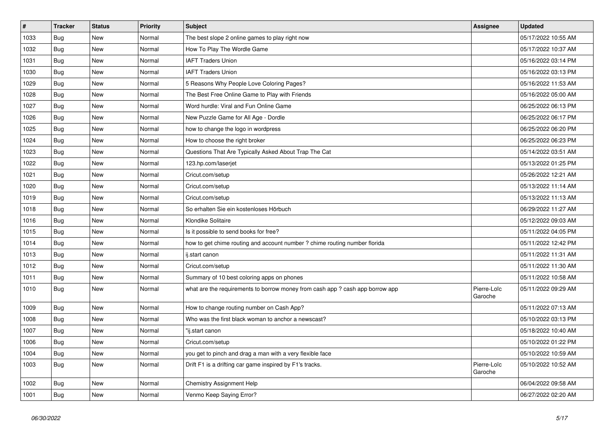| $\vert$ # | <b>Tracker</b> | <b>Status</b> | <b>Priority</b> | Subject                                                                       | Assignee               | <b>Updated</b>      |
|-----------|----------------|---------------|-----------------|-------------------------------------------------------------------------------|------------------------|---------------------|
| 1033      | <b>Bug</b>     | <b>New</b>    | Normal          | The best slope 2 online games to play right now                               |                        | 05/17/2022 10:55 AM |
| 1032      | Bug            | <b>New</b>    | Normal          | How To Play The Wordle Game                                                   |                        | 05/17/2022 10:37 AM |
| 1031      | <b>Bug</b>     | <b>New</b>    | Normal          | <b>IAFT Traders Union</b>                                                     |                        | 05/16/2022 03:14 PM |
| 1030      | <b>Bug</b>     | New           | Normal          | <b>IAFT Traders Union</b>                                                     |                        | 05/16/2022 03:13 PM |
| 1029      | <b>Bug</b>     | <b>New</b>    | Normal          | 5 Reasons Why People Love Coloring Pages?                                     |                        | 05/16/2022 11:53 AM |
| 1028      | Bug            | <b>New</b>    | Normal          | The Best Free Online Game to Play with Friends                                |                        | 05/16/2022 05:00 AM |
| 1027      | Bug            | <b>New</b>    | Normal          | Word hurdle: Viral and Fun Online Game                                        |                        | 06/25/2022 06:13 PM |
| 1026      | <b>Bug</b>     | New           | Normal          | New Puzzle Game for All Age - Dordle                                          |                        | 06/25/2022 06:17 PM |
| 1025      | <b>Bug</b>     | New           | Normal          | how to change the logo in wordpress                                           |                        | 06/25/2022 06:20 PM |
| 1024      | Bug            | <b>New</b>    | Normal          | How to choose the right broker                                                |                        | 06/25/2022 06:23 PM |
| 1023      | Bug            | <b>New</b>    | Normal          | Questions That Are Typically Asked About Trap The Cat                         |                        | 05/14/2022 03:51 AM |
| 1022      | <b>Bug</b>     | New           | Normal          | 123.hp.com/laserjet                                                           |                        | 05/13/2022 01:25 PM |
| 1021      | <b>Bug</b>     | New           | Normal          | Cricut.com/setup                                                              |                        | 05/26/2022 12:21 AM |
| 1020      | <b>Bug</b>     | New           | Normal          | Cricut.com/setup                                                              |                        | 05/13/2022 11:14 AM |
| 1019      | <b>Bug</b>     | New           | Normal          | Cricut.com/setup                                                              |                        | 05/13/2022 11:13 AM |
| 1018      | <b>Bug</b>     | New           | Normal          | So erhalten Sie ein kostenloses Hörbuch                                       |                        | 06/29/2022 11:27 AM |
| 1016      | <b>Bug</b>     | New           | Normal          | Klondike Solitaire                                                            |                        | 05/12/2022 09:03 AM |
| 1015      | Bug            | New           | Normal          | Is it possible to send books for free?                                        |                        | 05/11/2022 04:05 PM |
| 1014      | <b>Bug</b>     | New           | Normal          | how to get chime routing and account number ? chime routing number florida    |                        | 05/11/2022 12:42 PM |
| 1013      | Bug            | New           | Normal          | ij.start canon                                                                |                        | 05/11/2022 11:31 AM |
| 1012      | Bug            | New           | Normal          | Cricut.com/setup                                                              |                        | 05/11/2022 11:30 AM |
| 1011      | <b>Bug</b>     | New           | Normal          | Summary of 10 best coloring apps on phones                                    |                        | 05/11/2022 10:58 AM |
| 1010      | Bug            | New           | Normal          | what are the requirements to borrow money from cash app ? cash app borrow app | Pierre-Loïc<br>Garoche | 05/11/2022 09:29 AM |
| 1009      | Bug            | New           | Normal          | How to change routing number on Cash App?                                     |                        | 05/11/2022 07:13 AM |
| 1008      | Bug            | New           | Normal          | Who was the first black woman to anchor a newscast?                           |                        | 05/10/2022 03:13 PM |
| 1007      | <b>Bug</b>     | New           | Normal          | "ij.start canon                                                               |                        | 05/18/2022 10:40 AM |
| 1006      | Bug            | <b>New</b>    | Normal          | Cricut.com/setup                                                              |                        | 05/10/2022 01:22 PM |
| 1004      | Bug            | <b>New</b>    | Normal          | you get to pinch and drag a man with a very flexible face                     |                        | 05/10/2022 10:59 AM |
| 1003      | Bug            | <b>New</b>    | Normal          | Drift F1 is a drifting car game inspired by F1's tracks.                      | Pierre-Loïc<br>Garoche | 05/10/2022 10:52 AM |
| 1002      | Bug            | <b>New</b>    | Normal          | <b>Chemistry Assignment Help</b>                                              |                        | 06/04/2022 09:58 AM |
| 1001      | Bug            | New           | Normal          | Venmo Keep Saying Error?                                                      |                        | 06/27/2022 02:20 AM |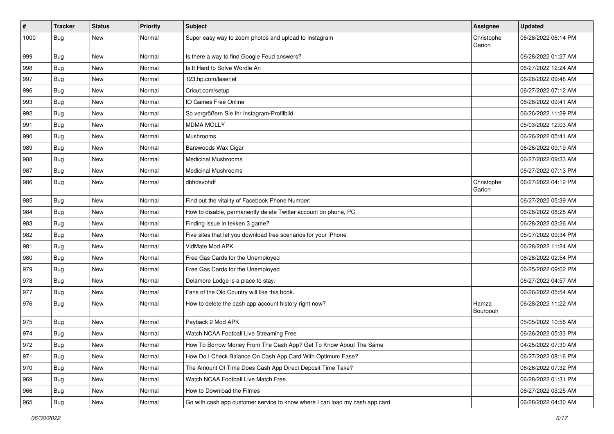| #    | <b>Tracker</b> | <b>Status</b> | <b>Priority</b> | <b>Subject</b>                                                              | <b>Assignee</b>      | <b>Updated</b>      |
|------|----------------|---------------|-----------------|-----------------------------------------------------------------------------|----------------------|---------------------|
| 1000 | Bug            | New           | Normal          | Super easy way to zoom photos and upload to Instagram                       | Christophe<br>Garion | 06/28/2022 06:14 PM |
| 999  | <b>Bug</b>     | New           | Normal          | Is there a way to find Google Feud answers?                                 |                      | 06/28/2022 01:27 AM |
| 998  | <b>Bug</b>     | New           | Normal          | Is It Hard to Solve Wordle An                                               |                      | 06/27/2022 12:24 AM |
| 997  | <b>Bug</b>     | <b>New</b>    | Normal          | 123.hp.com/laserjet                                                         |                      | 06/28/2022 09:48 AM |
| 996  | <b>Bug</b>     | New           | Normal          | Cricut.com/setup                                                            |                      | 06/27/2022 07:12 AM |
| 993  | <b>Bug</b>     | New           | Normal          | IO Games Free Online                                                        |                      | 06/26/2022 09:41 AM |
| 992  | <b>Bug</b>     | New           | Normal          | So vergrößern Sie Ihr Instagram-Profilbild                                  |                      | 06/26/2022 11:29 PM |
| 991  | <b>Bug</b>     | New           | Normal          | <b>MDMA MOLLY</b>                                                           |                      | 05/03/2022 12:03 AM |
| 990  | Bug            | <b>New</b>    | Normal          | Mushrooms                                                                   |                      | 06/26/2022 05:41 AM |
| 989  | <b>Bug</b>     | New           | Normal          | Barewoods Wax Cigar                                                         |                      | 06/26/2022 09:19 AM |
| 988  | <b>Bug</b>     | New           | Normal          | <b>Medicinal Mushrooms</b>                                                  |                      | 06/27/2022 09:33 AM |
| 987  | <b>Bug</b>     | New           | Normal          | <b>Medicinal Mushrooms</b>                                                  |                      | 06/27/2022 07:13 PM |
| 986  | Bug            | New           | Normal          | dbhdsvbhdf                                                                  | Christophe<br>Garion | 06/27/2022 04:12 PM |
| 985  | <b>Bug</b>     | New           | Normal          | Find out the vitality of Facebook Phone Number:                             |                      | 06/27/2022 05:39 AM |
| 984  | <b>Bug</b>     | New           | Normal          | How to disable, permanently delete Twitter account on phone, PC             |                      | 06/26/2022 08:28 AM |
| 983  | <b>Bug</b>     | <b>New</b>    | Normal          | Finding issue in tekken 3 game?                                             |                      | 06/28/2022 03:26 AM |
| 982  | <b>Bug</b>     | New           | Normal          | Five sites that let you download free scenarios for your iPhone             |                      | 05/07/2022 09:34 PM |
| 981  | <b>Bug</b>     | New           | Normal          | VidMate Mod APK                                                             |                      | 06/28/2022 11:24 AM |
| 980  | Bug            | New           | Normal          | Free Gas Cards for the Unemployed                                           |                      | 06/28/2022 02:54 PM |
| 979  | <b>Bug</b>     | New           | Normal          | Free Gas Cards for the Unemployed                                           |                      | 06/25/2022 09:02 PM |
| 978  | <b>Bug</b>     | <b>New</b>    | Normal          | Delamore Lodge is a place to stay.                                          |                      | 06/27/2022 04:57 AM |
| 977  | <b>Bug</b>     | New           | Normal          | Fans of the Old Country will like this book.                                |                      | 06/26/2022 05:54 AM |
| 976  | Bug            | New           | Normal          | How to delete the cash app account history right now?                       | Hamza<br>Bourbouh    | 06/28/2022 11:22 AM |
| 975  | <b>Bug</b>     | <b>New</b>    | Normal          | Payback 2 Mod APK                                                           |                      | 05/05/2022 10:56 AM |
| 974  | <b>Bug</b>     | New           | Normal          | Watch NCAA Football Live Streaming Free                                     |                      | 06/26/2022 05:33 PM |
| 972  | Bug            | New           | Normal          | How To Borrow Money From The Cash App? Get To Know About The Same           |                      | 04/25/2022 07:30 AM |
| 971  | Bug            | New           | Normal          | How Do I Check Balance On Cash App Card With Optimum Ease?                  |                      | 06/27/2022 08:16 PM |
| 970  | Bug            | New           | Normal          | The Amount Of Time Does Cash App Direct Deposit Time Take?                  |                      | 06/26/2022 07:32 PM |
| 969  | <b>Bug</b>     | New           | Normal          | Watch NCAA Football Live Match Free                                         |                      | 06/28/2022 01:31 PM |
| 966  | Bug            | New           | Normal          | How to Download the Filmes                                                  |                      | 06/27/2022 03:25 AM |
| 965  | Bug            | New           | Normal          | Go with cash app customer service to know where I can load my cash app card |                      | 06/28/2022 04:30 AM |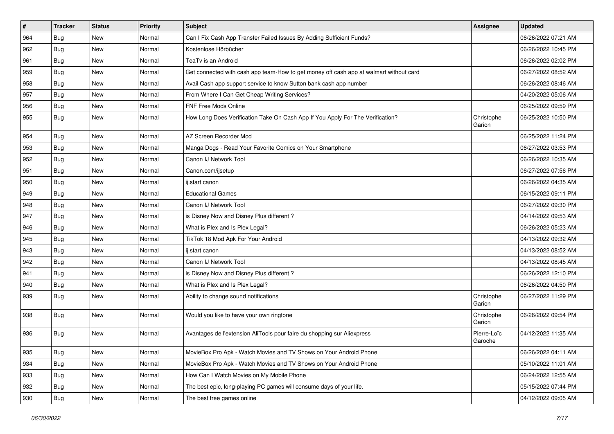| $\vert$ # | <b>Tracker</b> | <b>Status</b> | <b>Priority</b> | <b>Subject</b>                                                                         | <b>Assignee</b>        | <b>Updated</b>      |
|-----------|----------------|---------------|-----------------|----------------------------------------------------------------------------------------|------------------------|---------------------|
| 964       | Bug            | New           | Normal          | Can I Fix Cash App Transfer Failed Issues By Adding Sufficient Funds?                  |                        | 06/26/2022 07:21 AM |
| 962       | Bug            | New           | Normal          | Kostenlose Hörbücher                                                                   |                        | 06/26/2022 10:45 PM |
| 961       | Bug            | New           | Normal          | TeaTv is an Android                                                                    |                        | 06/26/2022 02:02 PM |
| 959       | <b>Bug</b>     | New           | Normal          | Get connected with cash app team-How to get money off cash app at walmart without card |                        | 06/27/2022 08:52 AM |
| 958       | Bug            | <b>New</b>    | Normal          | Avail Cash app support service to know Sutton bank cash app number                     |                        | 06/26/2022 08:46 AM |
| 957       | Bug            | New           | Normal          | From Where I Can Get Cheap Writing Services?                                           |                        | 04/20/2022 05:06 AM |
| 956       | Bug            | New           | Normal          | FNF Free Mods Online                                                                   |                        | 06/25/2022 09:59 PM |
| 955       | <b>Bug</b>     | New           | Normal          | How Long Does Verification Take On Cash App If You Apply For The Verification?         | Christophe<br>Garion   | 06/25/2022 10:50 PM |
| 954       | Bug            | <b>New</b>    | Normal          | AZ Screen Recorder Mod                                                                 |                        | 06/25/2022 11:24 PM |
| 953       | Bug            | New           | Normal          | Manga Dogs - Read Your Favorite Comics on Your Smartphone                              |                        | 06/27/2022 03:53 PM |
| 952       | <b>Bug</b>     | New           | Normal          | Canon IJ Network Tool                                                                  |                        | 06/26/2022 10:35 AM |
| 951       | Bug            | <b>New</b>    | Normal          | Canon.com/ijsetup                                                                      |                        | 06/27/2022 07:56 PM |
| 950       | Bug            | New           | Normal          | ij.start canon                                                                         |                        | 06/26/2022 04:35 AM |
| 949       | Bug            | New           | Normal          | <b>Educational Games</b>                                                               |                        | 06/15/2022 09:11 PM |
| 948       | Bug            | New           | Normal          | Canon IJ Network Tool                                                                  |                        | 06/27/2022 09:30 PM |
| 947       | Bug            | New           | Normal          | is Disney Now and Disney Plus different?                                               |                        | 04/14/2022 09:53 AM |
| 946       | Bug            | <b>New</b>    | Normal          | What is Plex and Is Plex Legal?                                                        |                        | 06/26/2022 05:23 AM |
| 945       | <b>Bug</b>     | New           | Normal          | TikTok 18 Mod Apk For Your Android                                                     |                        | 04/13/2022 09:32 AM |
| 943       | Bug            | New           | Normal          | ij.start canon                                                                         |                        | 04/13/2022 08:52 AM |
| 942       | Bug            | <b>New</b>    | Normal          | Canon IJ Network Tool                                                                  |                        | 04/13/2022 08:45 AM |
| 941       | Bug            | <b>New</b>    | Normal          | is Disney Now and Disney Plus different?                                               |                        | 06/26/2022 12:10 PM |
| 940       | Bug            | <b>New</b>    | Normal          | What is Plex and Is Plex Legal?                                                        |                        | 06/26/2022 04:50 PM |
| 939       | Bug            | New           | Normal          | Ability to change sound notifications                                                  | Christophe<br>Garion   | 06/27/2022 11:29 PM |
| 938       | Bug            | <b>New</b>    | Normal          | Would you like to have your own ringtone                                               | Christophe<br>Garion   | 06/26/2022 09:54 PM |
| 936       | <b>Bug</b>     | New           | Normal          | Avantages de l'extension AliTools pour faire du shopping sur Aliexpress                | Pierre-Loïc<br>Garoche | 04/12/2022 11:35 AM |
| 935       | <b>Bug</b>     | New           | Normal          | MovieBox Pro Apk - Watch Movies and TV Shows on Your Android Phone                     |                        | 06/26/2022 04:11 AM |
| 934       | <b>Bug</b>     | New           | Normal          | MovieBox Pro Apk - Watch Movies and TV Shows on Your Android Phone                     |                        | 05/10/2022 11:01 AM |
| 933       | <b>Bug</b>     | New           | Normal          | How Can I Watch Movies on My Mobile Phone                                              |                        | 06/24/2022 12:55 AM |
| 932       | <b>Bug</b>     | New           | Normal          | The best epic, long-playing PC games will consume days of your life.                   |                        | 05/15/2022 07:44 PM |
| 930       | <b>Bug</b>     | New           | Normal          | The best free games online                                                             |                        | 04/12/2022 09:05 AM |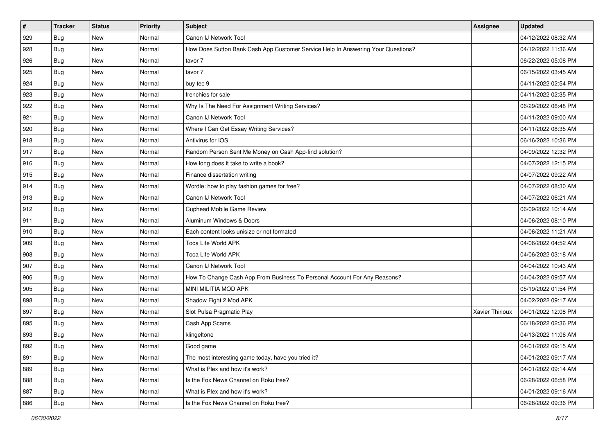| $\vert$ # | <b>Tracker</b> | <b>Status</b> | <b>Priority</b> | <b>Subject</b>                                                                   | <b>Assignee</b> | <b>Updated</b>      |
|-----------|----------------|---------------|-----------------|----------------------------------------------------------------------------------|-----------------|---------------------|
| 929       | <b>Bug</b>     | New           | Normal          | Canon IJ Network Tool                                                            |                 | 04/12/2022 08:32 AM |
| 928       | <b>Bug</b>     | New           | Normal          | How Does Sutton Bank Cash App Customer Service Help In Answering Your Questions? |                 | 04/12/2022 11:36 AM |
| 926       | Bug            | New           | Normal          | tavor 7                                                                          |                 | 06/22/2022 05:08 PM |
| 925       | Bug            | <b>New</b>    | Normal          | tavor 7                                                                          |                 | 06/15/2022 03:45 AM |
| 924       | <b>Bug</b>     | New           | Normal          | buy tec 9                                                                        |                 | 04/11/2022 02:54 PM |
| 923       | <b>Bug</b>     | New           | Normal          | frenchies for sale                                                               |                 | 04/11/2022 02:35 PM |
| 922       | Bug            | <b>New</b>    | Normal          | Why Is The Need For Assignment Writing Services?                                 |                 | 06/29/2022 06:48 PM |
| 921       | Bug            | <b>New</b>    | Normal          | Canon IJ Network Tool                                                            |                 | 04/11/2022 09:00 AM |
| 920       | <b>Bug</b>     | New           | Normal          | Where I Can Get Essay Writing Services?                                          |                 | 04/11/2022 08:35 AM |
| 918       | Bug            | <b>New</b>    | Normal          | Antivirus for IOS                                                                |                 | 06/16/2022 10:36 PM |
| 917       | Bug            | New           | Normal          | Random Person Sent Me Money on Cash App-find solution?                           |                 | 04/09/2022 12:32 PM |
| 916       | Bug            | <b>New</b>    | Normal          | How long does it take to write a book?                                           |                 | 04/07/2022 12:15 PM |
| 915       | Bug            | <b>New</b>    | Normal          | Finance dissertation writing                                                     |                 | 04/07/2022 09:22 AM |
| 914       | <b>Bug</b>     | New           | Normal          | Wordle: how to play fashion games for free?                                      |                 | 04/07/2022 08:30 AM |
| 913       | Bug            | New           | Normal          | Canon IJ Network Tool                                                            |                 | 04/07/2022 06:21 AM |
| 912       | <b>Bug</b>     | New           | Normal          | Cuphead Mobile Game Review                                                       |                 | 06/09/2022 10:14 AM |
| 911       | <b>Bug</b>     | <b>New</b>    | Normal          | Aluminum Windows & Doors                                                         |                 | 04/06/2022 08:10 PM |
| 910       | <b>Bug</b>     | <b>New</b>    | Normal          | Each content looks unisize or not formated                                       |                 | 04/06/2022 11:21 AM |
| 909       | Bug            | New           | Normal          | Toca Life World APK                                                              |                 | 04/06/2022 04:52 AM |
| 908       | <b>Bug</b>     | <b>New</b>    | Normal          | Toca Life World APK                                                              |                 | 04/06/2022 03:18 AM |
| 907       | Bug            | <b>New</b>    | Normal          | Canon IJ Network Tool                                                            |                 | 04/04/2022 10:43 AM |
| 906       | Bug            | New           | Normal          | How To Change Cash App From Business To Personal Account For Any Reasons?        |                 | 04/04/2022 09:57 AM |
| 905       | Bug            | <b>New</b>    | Normal          | MINI MILITIA MOD APK                                                             |                 | 05/19/2022 01:54 PM |
| 898       | Bug            | New           | Normal          | Shadow Fight 2 Mod APK                                                           |                 | 04/02/2022 09:17 AM |
| 897       | Bug            | New           | Normal          | Slot Pulsa Pragmatic Play                                                        | Xavier Thirioux | 04/01/2022 12:08 PM |
| 895       | Bug            | <b>New</b>    | Normal          | Cash App Scams                                                                   |                 | 06/18/2022 02:36 PM |
| 893       | <b>Bug</b>     | New           | Normal          | klingeltone                                                                      |                 | 04/13/2022 11:06 AM |
| 892       | <b>Bug</b>     | New           | Normal          | Good game                                                                        |                 | 04/01/2022 09:15 AM |
| 891       | <b>Bug</b>     | New           | Normal          | The most interesting game today, have you tried it?                              |                 | 04/01/2022 09:17 AM |
| 889       | <b>Bug</b>     | New           | Normal          | What is Plex and how it's work?                                                  |                 | 04/01/2022 09:14 AM |
| 888       | <b>Bug</b>     | New           | Normal          | Is the Fox News Channel on Roku free?                                            |                 | 06/28/2022 06:58 PM |
| 887       | <b>Bug</b>     | New           | Normal          | What is Plex and how it's work?                                                  |                 | 04/01/2022 09:16 AM |
| 886       | <b>Bug</b>     | New           | Normal          | Is the Fox News Channel on Roku free?                                            |                 | 06/28/2022 09:36 PM |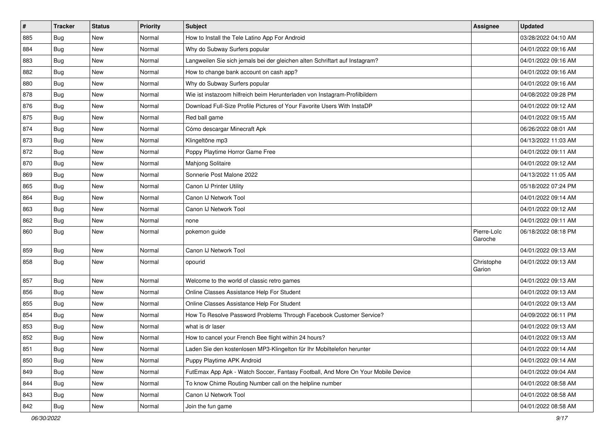| $\sharp$ | <b>Tracker</b> | <b>Status</b> | <b>Priority</b> | <b>Subject</b>                                                                   | <b>Assignee</b>        | <b>Updated</b>      |
|----------|----------------|---------------|-----------------|----------------------------------------------------------------------------------|------------------------|---------------------|
| 885      | Bug            | <b>New</b>    | Normal          | How to Install the Tele Latino App For Android                                   |                        | 03/28/2022 04:10 AM |
| 884      | Bug            | <b>New</b>    | Normal          | Why do Subway Surfers popular                                                    |                        | 04/01/2022 09:16 AM |
| 883      | Bug            | <b>New</b>    | Normal          | Langweilen Sie sich jemals bei der gleichen alten Schriftart auf Instagram?      |                        | 04/01/2022 09:16 AM |
| 882      | <b>Bug</b>     | <b>New</b>    | Normal          | How to change bank account on cash app?                                          |                        | 04/01/2022 09:16 AM |
| 880      | Bug            | New           | Normal          | Why do Subway Surfers popular                                                    |                        | 04/01/2022 09:16 AM |
| 878      | Bug            | <b>New</b>    | Normal          | Wie ist instazoom hilfreich beim Herunterladen von Instagram-Profilbildern       |                        | 04/08/2022 09:28 PM |
| 876      | Bug            | <b>New</b>    | Normal          | Download Full-Size Profile Pictures of Your Favorite Users With InstaDP          |                        | 04/01/2022 09:12 AM |
| 875      | <b>Bug</b>     | <b>New</b>    | Normal          | Red ball game                                                                    |                        | 04/01/2022 09:15 AM |
| 874      | Bug            | <b>New</b>    | Normal          | Cómo descargar Minecraft Apk                                                     |                        | 06/26/2022 08:01 AM |
| 873      | Bug            | New           | Normal          | Klingeltöne mp3                                                                  |                        | 04/13/2022 11:03 AM |
| 872      | Bug            | <b>New</b>    | Normal          | Poppy Playtime Horror Game Free                                                  |                        | 04/01/2022 09:11 AM |
| 870      | Bug            | <b>New</b>    | Normal          | Mahjong Solitaire                                                                |                        | 04/01/2022 09:12 AM |
| 869      | Bug            | <b>New</b>    | Normal          | Sonnerie Post Malone 2022                                                        |                        | 04/13/2022 11:05 AM |
| 865      | <b>Bug</b>     | New           | Normal          | Canon IJ Printer Utility                                                         |                        | 05/18/2022 07:24 PM |
| 864      | Bug            | <b>New</b>    | Normal          | Canon IJ Network Tool                                                            |                        | 04/01/2022 09:14 AM |
| 863      | Bug            | <b>New</b>    | Normal          | Canon IJ Network Tool                                                            |                        | 04/01/2022 09:12 AM |
| 862      | <b>Bug</b>     | <b>New</b>    | Normal          | none                                                                             |                        | 04/01/2022 09:11 AM |
| 860      | <b>Bug</b>     | New           | Normal          | pokemon guide                                                                    | Pierre-Loïc<br>Garoche | 06/18/2022 08:18 PM |
| 859      | Bug            | <b>New</b>    | Normal          | Canon IJ Network Tool                                                            |                        | 04/01/2022 09:13 AM |
| 858      | <b>Bug</b>     | <b>New</b>    | Normal          | opourid                                                                          | Christophe<br>Garion   | 04/01/2022 09:13 AM |
| 857      | Bug            | New           | Normal          | Welcome to the world of classic retro games                                      |                        | 04/01/2022 09:13 AM |
| 856      | <b>Bug</b>     | <b>New</b>    | Normal          | Online Classes Assistance Help For Student                                       |                        | 04/01/2022 09:13 AM |
| 855      | Bug            | <b>New</b>    | Normal          | Online Classes Assistance Help For Student                                       |                        | 04/01/2022 09:13 AM |
| 854      | Bug            | New           | Normal          | How To Resolve Password Problems Through Facebook Customer Service?              |                        | 04/09/2022 06:11 PM |
| 853      | <b>Bug</b>     | <b>New</b>    | Normal          | what is dr laser                                                                 |                        | 04/01/2022 09:13 AM |
| 852      | <b>Bug</b>     | <b>New</b>    | Normal          | How to cancel your French Bee flight within 24 hours?                            |                        | 04/01/2022 09:13 AM |
| 851      | <b>Bug</b>     | New           | Normal          | Laden Sie den kostenlosen MP3-Klingelton für Ihr Mobiltelefon herunter           |                        | 04/01/2022 09:14 AM |
| 850      | <b>Bug</b>     | New           | Normal          | Puppy Playtime APK Android                                                       |                        | 04/01/2022 09:14 AM |
| 849      | Bug            | New           | Normal          | FutEmax App Apk - Watch Soccer, Fantasy Football, And More On Your Mobile Device |                        | 04/01/2022 09:04 AM |
| 844      | <b>Bug</b>     | New           | Normal          | To know Chime Routing Number call on the helpline number                         |                        | 04/01/2022 08:58 AM |
| 843      | <b>Bug</b>     | New           | Normal          | Canon IJ Network Tool                                                            |                        | 04/01/2022 08:58 AM |
| 842      | <b>Bug</b>     | New           | Normal          | Join the fun game                                                                |                        | 04/01/2022 08:58 AM |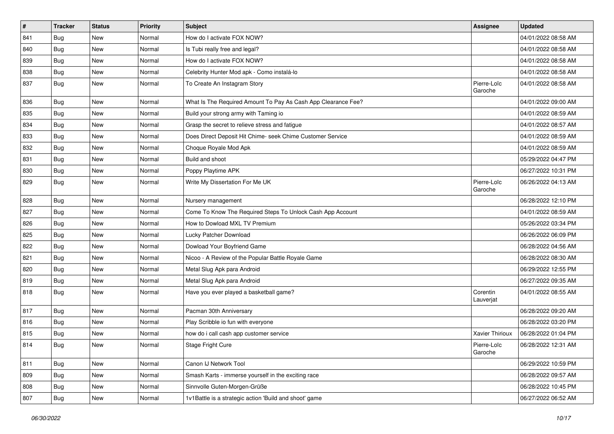| #   | <b>Tracker</b> | <b>Status</b> | <b>Priority</b> | <b>Subject</b>                                                | Assignee               | <b>Updated</b>      |
|-----|----------------|---------------|-----------------|---------------------------------------------------------------|------------------------|---------------------|
| 841 | Bug            | New           | Normal          | How do I activate FOX NOW?                                    |                        | 04/01/2022 08:58 AM |
| 840 | Bug            | <b>New</b>    | Normal          | Is Tubi really free and legal?                                |                        | 04/01/2022 08:58 AM |
| 839 | Bug            | New           | Normal          | How do I activate FOX NOW?                                    |                        | 04/01/2022 08:58 AM |
| 838 | <b>Bug</b>     | New           | Normal          | Celebrity Hunter Mod apk - Como instalá-lo                    |                        | 04/01/2022 08:58 AM |
| 837 | <b>Bug</b>     | <b>New</b>    | Normal          | To Create An Instagram Story                                  | Pierre-Loïc<br>Garoche | 04/01/2022 08:58 AM |
| 836 | Bug            | <b>New</b>    | Normal          | What Is The Required Amount To Pay As Cash App Clearance Fee? |                        | 04/01/2022 09:00 AM |
| 835 | Bug            | New           | Normal          | Build your strong army with Taming io                         |                        | 04/01/2022 08:59 AM |
| 834 | Bug            | New           | Normal          | Grasp the secret to relieve stress and fatigue                |                        | 04/01/2022 08:57 AM |
| 833 | Bug            | <b>New</b>    | Normal          | Does Direct Deposit Hit Chime- seek Chime Customer Service    |                        | 04/01/2022 08:59 AM |
| 832 | Bug            | New           | Normal          | Choque Royale Mod Apk                                         |                        | 04/01/2022 08:59 AM |
| 831 | Bug            | New           | Normal          | Build and shoot                                               |                        | 05/29/2022 04:47 PM |
| 830 | Bug            | New           | Normal          | Poppy Playtime APK                                            |                        | 06/27/2022 10:31 PM |
| 829 | <b>Bug</b>     | New           | Normal          | Write My Dissertation For Me UK                               | Pierre-Loïc<br>Garoche | 06/26/2022 04:13 AM |
| 828 | Bug            | New           | Normal          | Nursery management                                            |                        | 06/28/2022 12:10 PM |
| 827 | <b>Bug</b>     | New           | Normal          | Come To Know The Required Steps To Unlock Cash App Account    |                        | 04/01/2022 08:59 AM |
| 826 | Bug            | <b>New</b>    | Normal          | How to Dowload MXL TV Premium                                 |                        | 05/26/2022 03:34 PM |
| 825 | <b>Bug</b>     | New           | Normal          | Lucky Patcher Download                                        |                        | 06/26/2022 06:09 PM |
| 822 | <b>Bug</b>     | New           | Normal          | Dowload Your Boyfriend Game                                   |                        | 06/28/2022 04:56 AM |
| 821 | Bug            | New           | Normal          | Nicoo - A Review of the Popular Battle Royale Game            |                        | 06/28/2022 08:30 AM |
| 820 | Bug            | New           | Normal          | Metal Slug Apk para Android                                   |                        | 06/29/2022 12:55 PM |
| 819 | Bug            | <b>New</b>    | Normal          | Metal Slug Apk para Android                                   |                        | 06/27/2022 09:35 AM |
| 818 | <b>Bug</b>     | New           | Normal          | Have you ever played a basketball game?                       | Corentin<br>Lauverjat  | 04/01/2022 08:55 AM |
| 817 | Bug            | <b>New</b>    | Normal          | Pacman 30th Anniversary                                       |                        | 06/28/2022 09:20 AM |
| 816 | Bug            | New           | Normal          | Play Scribble io fun with everyone                            |                        | 06/28/2022 03:20 PM |
| 815 | <b>Bug</b>     | New           | Normal          | how do i call cash app customer service                       | Xavier Thirioux        | 06/28/2022 01:04 PM |
| 814 | Bug            | New           | Normal          | Stage Fright Cure                                             | Pierre-Loïc<br>Garoche | 06/28/2022 12:31 AM |
| 811 | Bug            | New           | Normal          | Canon IJ Network Tool                                         |                        | 06/29/2022 10:59 PM |
| 809 | Bug            | New           | Normal          | Smash Karts - immerse yourself in the exciting race           |                        | 06/28/2022 09:57 AM |
| 808 | <b>Bug</b>     | New           | Normal          | Sinnvolle Guten-Morgen-Grüße                                  |                        | 06/28/2022 10:45 PM |
| 807 | <b>Bug</b>     | New           | Normal          | 1v1Battle is a strategic action 'Build and shoot' game        |                        | 06/27/2022 06:52 AM |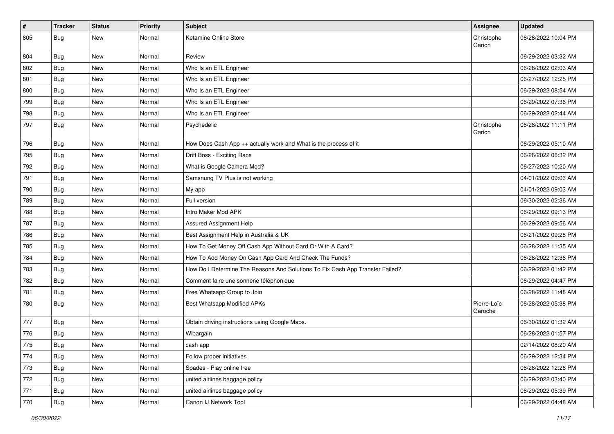| $\sharp$ | <b>Tracker</b>   | <b>Status</b> | <b>Priority</b> | <b>Subject</b>                                                                | Assignee               | <b>Updated</b>      |
|----------|------------------|---------------|-----------------|-------------------------------------------------------------------------------|------------------------|---------------------|
| 805      | <b>Bug</b>       | <b>New</b>    | Normal          | Ketamine Online Store                                                         | Christophe<br>Garion   | 06/28/2022 10:04 PM |
| 804      | <b>Bug</b>       | New           | Normal          | Review                                                                        |                        | 06/29/2022 03:32 AM |
| 802      | <b>Bug</b>       | <b>New</b>    | Normal          | Who Is an ETL Engineer                                                        |                        | 06/28/2022 02:03 AM |
| 801      | Bug              | New           | Normal          | Who Is an ETL Engineer                                                        |                        | 06/27/2022 12:25 PM |
| 800      | Bug              | <b>New</b>    | Normal          | Who Is an ETL Engineer                                                        |                        | 06/29/2022 08:54 AM |
| 799      | <b>Bug</b>       | <b>New</b>    | Normal          | Who Is an ETL Engineer                                                        |                        | 06/29/2022 07:36 PM |
| 798      | <b>Bug</b>       | New           | Normal          | Who Is an ETL Engineer                                                        |                        | 06/29/2022 02:44 AM |
| 797      | <b>Bug</b>       | <b>New</b>    | Normal          | Psychedelic                                                                   | Christophe<br>Garion   | 06/28/2022 11:11 PM |
| 796      | <b>Bug</b>       | New           | Normal          | How Does Cash App ++ actually work and What is the process of it              |                        | 06/29/2022 05:10 AM |
| 795      | <b>Bug</b>       | <b>New</b>    | Normal          | Drift Boss - Exciting Race                                                    |                        | 06/26/2022 06:32 PM |
| 792      | <b>Bug</b>       | New           | Normal          | What is Google Camera Mod?                                                    |                        | 06/27/2022 10:20 AM |
| 791      | <b>Bug</b>       | <b>New</b>    | Normal          | Samsnung TV Plus is not working                                               |                        | 04/01/2022 09:03 AM |
| 790      | Bug              | <b>New</b>    | Normal          | My app                                                                        |                        | 04/01/2022 09:03 AM |
| 789      | <b>Bug</b>       | <b>New</b>    | Normal          | Full version                                                                  |                        | 06/30/2022 02:36 AM |
| 788      | <b>Bug</b>       | <b>New</b>    | Normal          | Intro Maker Mod APK                                                           |                        | 06/29/2022 09:13 PM |
| 787      | <b>Bug</b>       | New           | Normal          | Assured Assignment Help                                                       |                        | 06/29/2022 09:56 AM |
| 786      | <b>Bug</b>       | New           | Normal          | Best Assignment Help in Australia & UK                                        |                        | 06/21/2022 09:28 PM |
| 785      | Bug              | <b>New</b>    | Normal          | How To Get Money Off Cash App Without Card Or With A Card?                    |                        | 06/28/2022 11:35 AM |
| 784      | Bug              | New           | Normal          | How To Add Money On Cash App Card And Check The Funds?                        |                        | 06/28/2022 12:36 PM |
| 783      | <b>Bug</b>       | <b>New</b>    | Normal          | How Do I Determine The Reasons And Solutions To Fix Cash App Transfer Failed? |                        | 06/29/2022 01:42 PM |
| 782      | Bug              | <b>New</b>    | Normal          | Comment faire une sonnerie téléphonique                                       |                        | 06/29/2022 04:47 PM |
| 781      | Bug              | <b>New</b>    | Normal          | Free Whatsapp Group to Join                                                   |                        | 06/28/2022 11:48 AM |
| 780      | <b>Bug</b>       | <b>New</b>    | Normal          | Best Whatsapp Modified APKs                                                   | Pierre-Loïc<br>Garoche | 06/28/2022 05:38 PM |
| 777      | Bug              | <b>New</b>    | Normal          | Obtain driving instructions using Google Maps.                                |                        | 06/30/2022 01:32 AM |
| 776      | <b>Bug</b>       | <b>New</b>    | Normal          | Wibargain                                                                     |                        | 06/28/2022 01:57 PM |
| 775      | <sub>I</sub> Bug | New           | Normal          | cash app                                                                      |                        | 02/14/2022 08:20 AM |
| 774      | <b>Bug</b>       | New           | Normal          | Follow proper initiatives                                                     |                        | 06/29/2022 12:34 PM |
| 773      | Bug              | New           | Normal          | Spades - Play online free                                                     |                        | 06/28/2022 12:26 PM |
| 772      | <b>Bug</b>       | New           | Normal          | united airlines baggage policy                                                |                        | 06/29/2022 03:40 PM |
| 771      | <b>Bug</b>       | New           | Normal          | united airlines baggage policy                                                |                        | 06/29/2022 05:39 PM |
| 770      | <b>Bug</b>       | New           | Normal          | Canon IJ Network Tool                                                         |                        | 06/29/2022 04:48 AM |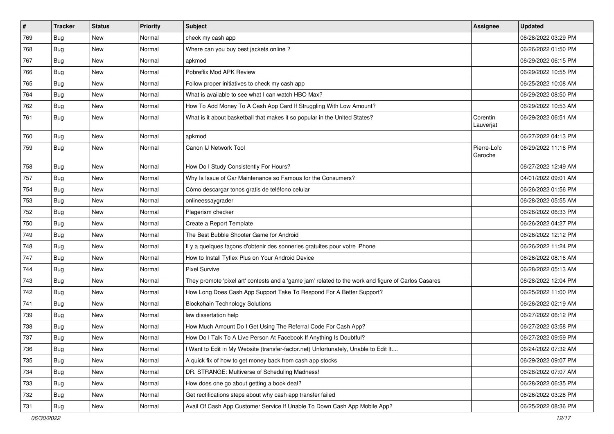| $\vert$ # | <b>Tracker</b> | <b>Status</b> | <b>Priority</b> | <b>Subject</b>                                                                                      | Assignee               | <b>Updated</b>      |
|-----------|----------------|---------------|-----------------|-----------------------------------------------------------------------------------------------------|------------------------|---------------------|
| 769       | Bug            | New           | Normal          | check my cash app                                                                                   |                        | 06/28/2022 03:29 PM |
| 768       | Bug            | <b>New</b>    | Normal          | Where can you buy best jackets online?                                                              |                        | 06/26/2022 01:50 PM |
| 767       | Bug            | New           | Normal          | apkmod                                                                                              |                        | 06/29/2022 06:15 PM |
| 766       | Bug            | New           | Normal          | Pobreflix Mod APK Review                                                                            |                        | 06/29/2022 10:55 PM |
| 765       | Bug            | <b>New</b>    | Normal          | Follow proper initiatives to check my cash app                                                      |                        | 06/25/2022 10:08 AM |
| 764       | Bug            | New           | Normal          | What is available to see what I can watch HBO Max?                                                  |                        | 06/29/2022 08:50 PM |
| 762       | Bug            | New           | Normal          | How To Add Money To A Cash App Card If Struggling With Low Amount?                                  |                        | 06/29/2022 10:53 AM |
| 761       | Bug            | New           | Normal          | What is it about basketball that makes it so popular in the United States?                          | Corentin<br>Lauverjat  | 06/29/2022 06:51 AM |
| 760       | Bug            | <b>New</b>    | Normal          | apkmod                                                                                              |                        | 06/27/2022 04:13 PM |
| 759       | Bug            | New           | Normal          | Canon IJ Network Tool                                                                               | Pierre-Loïc<br>Garoche | 06/29/2022 11:16 PM |
| 758       | Bug            | <b>New</b>    | Normal          | How Do I Study Consistently For Hours?                                                              |                        | 06/27/2022 12:49 AM |
| 757       | Bug            | New           | Normal          | Why Is Issue of Car Maintenance so Famous for the Consumers?                                        |                        | 04/01/2022 09:01 AM |
| 754       | Bug            | New           | Normal          | Cómo descargar tonos gratis de teléfono celular                                                     |                        | 06/26/2022 01:56 PM |
| 753       | Bug            | New           | Normal          | onlineessaygrader                                                                                   |                        | 06/28/2022 05:55 AM |
| 752       | <b>Bug</b>     | New           | Normal          | Plagerism checker                                                                                   |                        | 06/26/2022 06:33 PM |
| 750       | Bug            | <b>New</b>    | Normal          | Create a Report Template                                                                            |                        | 06/26/2022 04:27 PM |
| 749       | Bug            | New           | Normal          | The Best Bubble Shooter Game for Android                                                            |                        | 06/26/2022 12:12 PM |
| 748       | Bug            | New           | Normal          | Il y a quelques façons d'obtenir des sonneries gratuites pour votre iPhone                          |                        | 06/26/2022 11:24 PM |
| 747       | Bug            | <b>New</b>    | Normal          | How to Install Tyflex Plus on Your Android Device                                                   |                        | 06/26/2022 08:16 AM |
| 744       | Bug            | New           | Normal          | <b>Pixel Survive</b>                                                                                |                        | 06/28/2022 05:13 AM |
| 743       | Bug            | <b>New</b>    | Normal          | They promote 'pixel art' contests and a 'game jam' related to the work and figure of Carlos Casares |                        | 06/28/2022 12:04 PM |
| 742       | <b>Bug</b>     | New           | Normal          | How Long Does Cash App Support Take To Respond For A Better Support?                                |                        | 06/25/2022 11:00 PM |
| 741       | <b>Bug</b>     | New           | Normal          | <b>Blockchain Technology Solutions</b>                                                              |                        | 06/26/2022 02:19 AM |
| 739       | Bug            | <b>New</b>    | Normal          | law dissertation help                                                                               |                        | 06/27/2022 06:12 PM |
| 738       | <b>Bug</b>     | New           | Normal          | How Much Amount Do I Get Using The Referral Code For Cash App?                                      |                        | 06/27/2022 03:58 PM |
| 737       | <b>Bug</b>     | New           | Normal          | How Do I Talk To A Live Person At Facebook If Anything Is Doubtful?                                 |                        | 06/27/2022 09:59 PM |
| 736       | Bug            | New           | Normal          | I Want to Edit in My Website (transfer-factor.net) Unfortunately, Unable to Edit It                 |                        | 06/24/2022 07:32 AM |
| 735       | <b>Bug</b>     | <b>New</b>    | Normal          | A quick fix of how to get money back from cash app stocks                                           |                        | 06/29/2022 09:07 PM |
| 734       | Bug            | New           | Normal          | DR. STRANGE: Multiverse of Scheduling Madness!                                                      |                        | 06/28/2022 07:07 AM |
| 733       | Bug            | New           | Normal          | How does one go about getting a book deal?                                                          |                        | 06/28/2022 06:35 PM |
| 732       | <b>Bug</b>     | New           | Normal          | Get rectifications steps about why cash app transfer failed                                         |                        | 06/26/2022 03:28 PM |
| 731       | <b>Bug</b>     | New           | Normal          | Avail Of Cash App Customer Service If Unable To Down Cash App Mobile App?                           |                        | 06/25/2022 08:36 PM |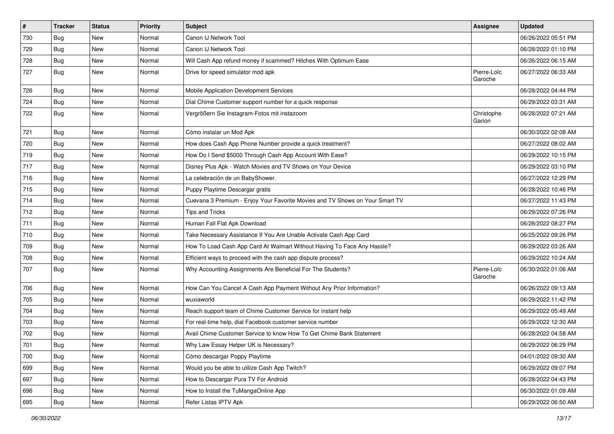| $\vert$ # | <b>Tracker</b> | <b>Status</b> | <b>Priority</b> | Subject                                                                      | Assignee               | <b>Updated</b>      |
|-----------|----------------|---------------|-----------------|------------------------------------------------------------------------------|------------------------|---------------------|
| 730       | Bug            | New           | Normal          | Canon IJ Network Tool                                                        |                        | 06/26/2022 05:51 PM |
| 729       | Bug            | <b>New</b>    | Normal          | Canon IJ Network Tool                                                        |                        | 06/28/2022 01:10 PM |
| 728       | Bug            | New           | Normal          | Will Cash App refund money if scammed? Hitches With Optimum Ease             |                        | 06/26/2022 06:15 AM |
| 727       | Bug            | New           | Normal          | Drive for speed simulator mod apk                                            | Pierre-Loïc<br>Garoche | 06/27/2022 06:33 AM |
| 726       | Bug            | New           | Normal          | Mobile Application Development Services                                      |                        | 06/28/2022 04:44 PM |
| 724       | <b>Bug</b>     | New           | Normal          | Dial Chime Customer support number for a quick response                      |                        | 06/29/2022 03:31 AM |
| 722       | <b>Bug</b>     | New           | Normal          | Vergrößern Sie Instagram-Fotos mit instazoom                                 | Christophe<br>Garion   | 06/28/2022 07:21 AM |
| 721       | Bug            | <b>New</b>    | Normal          | Cómo instalar un Mod Apk                                                     |                        | 06/30/2022 02:08 AM |
| 720       | Bug            | New           | Normal          | How does Cash App Phone Number provide a quick treatment?                    |                        | 06/27/2022 08:02 AM |
| 719       | <b>Bug</b>     | New           | Normal          | How Do I Send \$5000 Through Cash App Account With Ease?                     |                        | 06/29/2022 10:15 PM |
| 717       | Bug            | <b>New</b>    | Normal          | Disney Plus Apk - Watch Movies and TV Shows on Your Device                   |                        | 06/29/2022 03:10 PM |
| 716       | Bug            | New           | Normal          | La celebración de un BabyShower.                                             |                        | 06/27/2022 12:29 PM |
| 715       | Bug            | New           | Normal          | Puppy Playtime Descargar gratis                                              |                        | 06/28/2022 10:46 PM |
| 714       | <b>Bug</b>     | New           | Normal          | Cuevana 3 Premium - Enjoy Your Favorite Movies and TV Shows on Your Smart TV |                        | 06/27/2022 11:43 PM |
| 712       | <b>Bug</b>     | New           | Normal          | <b>Tips and Tricks</b>                                                       |                        | 06/29/2022 07:26 PM |
| 711       | Bug            | <b>New</b>    | Normal          | Human Fall Flat Apk Download                                                 |                        | 06/28/2022 08:27 PM |
| 710       | Bug            | New           | Normal          | Take Necessary Assistance If You Are Unable Activate Cash App Card           |                        | 06/25/2022 09:26 PM |
| 709       | Bug            | New           | Normal          | How To Load Cash App Card At Walmart Without Having To Face Any Hassle?      |                        | 06/29/2022 03:26 AM |
| 708       | Bug            | <b>New</b>    | Normal          | Efficient ways to proceed with the cash app dispute process?                 |                        | 06/29/2022 10:24 AM |
| 707       | <b>Bug</b>     | New           | Normal          | Why Accounting Assignments Are Beneficial For The Students?                  | Pierre-Loïc<br>Garoche | 06/30/2022 01:06 AM |
| 706       | Bug            | New           | Normal          | How Can You Cancel A Cash App Payment Without Any Prior Information?         |                        | 06/26/2022 09:13 AM |
| 705       | Bug            | <b>New</b>    | Normal          | wuxiaworld                                                                   |                        | 06/29/2022 11:42 PM |
| 704       | Bug            | <b>New</b>    | Normal          | Reach support team of Chime Customer Service for instant help                |                        | 06/29/2022 05:49 AM |
| 703       | Bug            | New           | Normal          | For real-time help, dial Facebook customer service number                    |                        | 06/29/2022 12:30 AM |
| 702       | <b>Bug</b>     | New           | Normal          | Avail Chime Customer Service to know How To Get Chime Bank Statement         |                        | 06/28/2022 04:58 AM |
| 701       | Bug            | New           | Normal          | Why Law Essay Helper UK is Necessary?                                        |                        | 06/29/2022 06:29 PM |
| 700       | <b>Bug</b>     | New           | Normal          | Cómo descargar Poppy Playtime                                                |                        | 04/01/2022 09:30 AM |
| 699       | <b>Bug</b>     | New           | Normal          | Would you be able to utilize Cash App Twitch?                                |                        | 06/29/2022 09:07 PM |
| 697       | <b>Bug</b>     | New           | Normal          | How to Descargar Pura TV For Android                                         |                        | 06/28/2022 04:43 PM |
| 696       | Bug            | New           | Normal          | How to Install the TuMangaOnline App                                         |                        | 06/30/2022 01:09 AM |
| 695       | <b>Bug</b>     | New           | Normal          | Refer Listas IPTV Apk                                                        |                        | 06/29/2022 06:50 AM |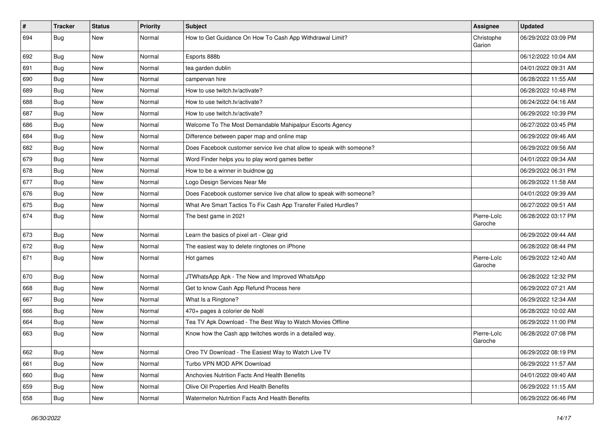| $\sharp$ | <b>Tracker</b> | <b>Status</b> | <b>Priority</b> | <b>Subject</b>                                                        | <b>Assignee</b>        | <b>Updated</b>      |
|----------|----------------|---------------|-----------------|-----------------------------------------------------------------------|------------------------|---------------------|
| 694      | <b>Bug</b>     | <b>New</b>    | Normal          | How to Get Guidance On How To Cash App Withdrawal Limit?              | Christophe<br>Garion   | 06/29/2022 03:09 PM |
| 692      | <b>Bug</b>     | <b>New</b>    | Normal          | Esports 888b                                                          |                        | 06/12/2022 10:04 AM |
| 691      | <b>Bug</b>     | <b>New</b>    | Normal          | tea garden dublin                                                     |                        | 04/01/2022 09:31 AM |
| 690      | Bug            | <b>New</b>    | Normal          | campervan hire                                                        |                        | 06/28/2022 11:55 AM |
| 689      | Bug            | <b>New</b>    | Normal          | How to use twitch.tv/activate?                                        |                        | 06/28/2022 10:48 PM |
| 688      | Bug            | <b>New</b>    | Normal          | How to use twitch.ty/activate?                                        |                        | 06/24/2022 04:16 AM |
| 687      | <b>Bug</b>     | New           | Normal          | How to use twitch.tv/activate?                                        |                        | 06/29/2022 10:39 PM |
| 686      | <b>Bug</b>     | <b>New</b>    | Normal          | Welcome To The Most Demandable Mahipalpur Escorts Agency              |                        | 06/27/2022 03:45 PM |
| 684      | Bug            | <b>New</b>    | Normal          | Difference between paper map and online map                           |                        | 06/29/2022 09:46 AM |
| 682      | <b>Bug</b>     | <b>New</b>    | Normal          | Does Facebook customer service live chat allow to speak with someone? |                        | 06/29/2022 09:56 AM |
| 679      | <b>Bug</b>     | <b>New</b>    | Normal          | Word Finder helps you to play word games better                       |                        | 04/01/2022 09:34 AM |
| 678      | Bug            | <b>New</b>    | Normal          | How to be a winner in buidnow gg                                      |                        | 06/29/2022 06:31 PM |
| 677      | <b>Bug</b>     | <b>New</b>    | Normal          | Logo Design Services Near Me                                          |                        | 06/29/2022 11:58 AM |
| 676      | <b>Bug</b>     | <b>New</b>    | Normal          | Does Facebook customer service live chat allow to speak with someone? |                        | 04/01/2022 09:39 AM |
| 675      | Bug            | <b>New</b>    | Normal          | What Are Smart Tactics To Fix Cash App Transfer Failed Hurdles?       |                        | 06/27/2022 09:51 AM |
| 674      | <b>Bug</b>     | <b>New</b>    | Normal          | The best game in 2021                                                 | Pierre-Loïc<br>Garoche | 06/28/2022 03:17 PM |
| 673      | Bug            | <b>New</b>    | Normal          | Learn the basics of pixel art - Clear grid                            |                        | 06/29/2022 09:44 AM |
| 672      | <b>Bug</b>     | <b>New</b>    | Normal          | The easiest way to delete ringtones on iPhone                         |                        | 06/28/2022 08:44 PM |
| 671      | <b>Bug</b>     | New           | Normal          | Hot games                                                             | Pierre-Loïc<br>Garoche | 06/29/2022 12:40 AM |
| 670      | Bug            | New           | Normal          | JTWhatsApp Apk - The New and Improved WhatsApp                        |                        | 06/28/2022 12:32 PM |
| 668      | Bug            | <b>New</b>    | Normal          | Get to know Cash App Refund Process here                              |                        | 06/29/2022 07:21 AM |
| 667      | <b>Bug</b>     | <b>New</b>    | Normal          | What Is a Ringtone?                                                   |                        | 06/29/2022 12:34 AM |
| 666      | <b>Bug</b>     | <b>New</b>    | Normal          | 470+ pages à colorier de Noël                                         |                        | 06/28/2022 10:02 AM |
| 664      | Bug            | New           | Normal          | Tea TV Apk Download - The Best Way to Watch Movies Offline            |                        | 06/29/2022 11:00 PM |
| 663      | <b>Bug</b>     | <b>New</b>    | Normal          | Know how the Cash app twitches words in a detailed way.               | Pierre-Loïc<br>Garoche | 06/28/2022 07:08 PM |
| 662      | Bug            | New           | Normal          | Oreo TV Download - The Easiest Way to Watch Live TV                   |                        | 06/29/2022 08:19 PM |
| 661      | Bug            | New           | Normal          | Turbo VPN MOD APK Download                                            |                        | 06/29/2022 11:57 AM |
| 660      | Bug            | <b>New</b>    | Normal          | Anchovies Nutrition Facts And Health Benefits                         |                        | 04/01/2022 09:40 AM |
| 659      | <b>Bug</b>     | New           | Normal          | Olive Oil Properties And Health Benefits                              |                        | 06/29/2022 11:15 AM |
| 658      | <b>Bug</b>     | New           | Normal          | Watermelon Nutrition Facts And Health Benefits                        |                        | 06/29/2022 06:46 PM |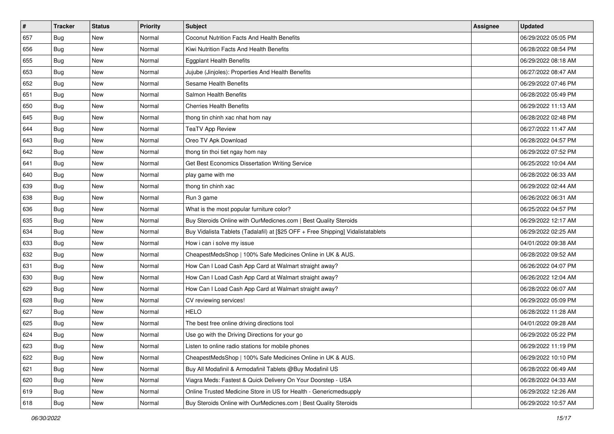| #   | <b>Tracker</b> | <b>Status</b> | <b>Priority</b> | Subject                                                                          | <b>Assignee</b> | <b>Updated</b>      |
|-----|----------------|---------------|-----------------|----------------------------------------------------------------------------------|-----------------|---------------------|
| 657 | Bug            | New           | Normal          | Coconut Nutrition Facts And Health Benefits                                      |                 | 06/29/2022 05:05 PM |
| 656 | Bug            | <b>New</b>    | Normal          | Kiwi Nutrition Facts And Health Benefits                                         |                 | 06/28/2022 08:54 PM |
| 655 | <b>Bug</b>     | New           | Normal          | <b>Eggplant Health Benefits</b>                                                  |                 | 06/29/2022 08:18 AM |
| 653 | Bug            | New           | Normal          | Jujube (Jinjoles): Properties And Health Benefits                                |                 | 06/27/2022 08:47 AM |
| 652 | <b>Bug</b>     | <b>New</b>    | Normal          | Sesame Health Benefits                                                           |                 | 06/29/2022 07:46 PM |
| 651 | Bug            | New           | Normal          | Salmon Health Benefits                                                           |                 | 06/28/2022 05:49 PM |
| 650 | Bug            | New           | Normal          | <b>Cherries Health Benefits</b>                                                  |                 | 06/29/2022 11:13 AM |
| 645 | Bug            | New           | Normal          | thong tin chinh xac nhat hom nay                                                 |                 | 06/28/2022 02:48 PM |
| 644 | Bug            | New           | Normal          | <b>TeaTV App Review</b>                                                          |                 | 06/27/2022 11:47 AM |
| 643 | Bug            | <b>New</b>    | Normal          | Oreo TV Apk Download                                                             |                 | 06/28/2022 04:57 PM |
| 642 | Bug            | New           | Normal          | thong tin thoi tiet ngay hom nay                                                 |                 | 06/29/2022 07:52 PM |
| 641 | Bug            | New           | Normal          | Get Best Economics Dissertation Writing Service                                  |                 | 06/25/2022 10:04 AM |
| 640 | <b>Bug</b>     | New           | Normal          | play game with me                                                                |                 | 06/28/2022 06:33 AM |
| 639 | Bug            | <b>New</b>    | Normal          | thong tin chinh xac                                                              |                 | 06/29/2022 02:44 AM |
| 638 | <b>Bug</b>     | New           | Normal          | Run 3 game                                                                       |                 | 06/26/2022 06:31 AM |
| 636 | Bug            | New           | Normal          | What is the most popular furniture color?                                        |                 | 06/25/2022 04:57 PM |
| 635 | Bug            | New           | Normal          | Buy Steroids Online with OurMedicnes.com   Best Quality Steroids                 |                 | 06/29/2022 12:17 AM |
| 634 | <b>Bug</b>     | <b>New</b>    | Normal          | Buy Vidalista Tablets (Tadalafil) at [\$25 OFF + Free Shipping] Vidalistatablets |                 | 06/29/2022 02:25 AM |
| 633 | Bug            | New           | Normal          | How i can i solve my issue                                                       |                 | 04/01/2022 09:38 AM |
| 632 | Bug            | New           | Normal          | CheapestMedsShop   100% Safe Medicines Online in UK & AUS.                       |                 | 06/28/2022 09:52 AM |
| 631 | <b>Bug</b>     | New           | Normal          | How Can I Load Cash App Card at Walmart straight away?                           |                 | 06/26/2022 04:07 PM |
| 630 | Bug            | New           | Normal          | How Can I Load Cash App Card at Walmart straight away?                           |                 | 06/26/2022 12:04 AM |
| 629 | Bug            | <b>New</b>    | Normal          | How Can I Load Cash App Card at Walmart straight away?                           |                 | 06/28/2022 06:07 AM |
| 628 | <b>Bug</b>     | New           | Normal          | CV reviewing services!                                                           |                 | 06/29/2022 05:09 PM |
| 627 | Bug            | New           | Normal          | <b>HELO</b>                                                                      |                 | 06/28/2022 11:28 AM |
| 625 | Bug            | New           | Normal          | The best free online driving directions tool                                     |                 | 04/01/2022 09:28 AM |
| 624 | <b>Bug</b>     | New           | Normal          | Use go with the Driving Directions for your go                                   |                 | 06/29/2022 05:22 PM |
| 623 | I Bug          | New           | Normal          | Listen to online radio stations for mobile phones                                |                 | 06/29/2022 11:19 PM |
| 622 | <b>Bug</b>     | New           | Normal          | CheapestMedsShop   100% Safe Medicines Online in UK & AUS.                       |                 | 06/29/2022 10:10 PM |
| 621 | <b>Bug</b>     | New           | Normal          | Buy All Modafinil & Armodafinil Tablets @Buy Modafinil US                        |                 | 06/28/2022 06:49 AM |
| 620 | Bug            | New           | Normal          | Viagra Meds: Fastest & Quick Delivery On Your Doorstep - USA                     |                 | 06/28/2022 04:33 AM |
| 619 | Bug            | New           | Normal          | Online Trusted Medicine Store in US for Health - Genericmedsupply                |                 | 06/29/2022 12:26 AM |
| 618 | <b>Bug</b>     | New           | Normal          | Buy Steroids Online with OurMedicnes.com   Best Quality Steroids                 |                 | 06/29/2022 10:57 AM |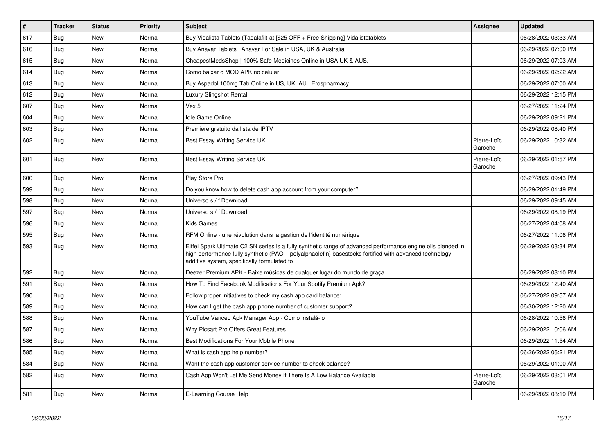| $\vert$ # | <b>Tracker</b> | <b>Status</b> | <b>Priority</b> | <b>Subject</b>                                                                                                                                                                                                                                                        | <b>Assignee</b>        | <b>Updated</b>      |
|-----------|----------------|---------------|-----------------|-----------------------------------------------------------------------------------------------------------------------------------------------------------------------------------------------------------------------------------------------------------------------|------------------------|---------------------|
| 617       | Bug            | <b>New</b>    | Normal          | Buy Vidalista Tablets (Tadalafil) at [\$25 OFF + Free Shipping] Vidalistatablets                                                                                                                                                                                      |                        | 06/28/2022 03:33 AM |
| 616       | Bug            | <b>New</b>    | Normal          | Buy Anavar Tablets   Anavar For Sale in USA, UK & Australia                                                                                                                                                                                                           |                        | 06/29/2022 07:00 PM |
| 615       | Bug            | New           | Normal          | CheapestMedsShop   100% Safe Medicines Online in USA UK & AUS.                                                                                                                                                                                                        |                        | 06/29/2022 07:03 AM |
| 614       | Bug            | New           | Normal          | Como baixar o MOD APK no celular                                                                                                                                                                                                                                      |                        | 06/29/2022 02:22 AM |
| 613       | Bug            | <b>New</b>    | Normal          | Buy Aspadol 100mg Tab Online in US, UK, AU   Erospharmacy                                                                                                                                                                                                             |                        | 06/29/2022 07:00 AM |
| 612       | Bug            | <b>New</b>    | Normal          | Luxury Slingshot Rental                                                                                                                                                                                                                                               |                        | 06/29/2022 12:15 PM |
| 607       | Bug            | New           | Normal          | Vex 5                                                                                                                                                                                                                                                                 |                        | 06/27/2022 11:24 PM |
| 604       | Bug            | <b>New</b>    | Normal          | <b>Idle Game Online</b>                                                                                                                                                                                                                                               |                        | 06/29/2022 09:21 PM |
| 603       | Bug            | <b>New</b>    | Normal          | Premiere gratuito da lista de IPTV                                                                                                                                                                                                                                    |                        | 06/29/2022 08:40 PM |
| 602       | <b>Bug</b>     | <b>New</b>    | Normal          | Best Essay Writing Service UK                                                                                                                                                                                                                                         | Pierre-Loïc<br>Garoche | 06/29/2022 10:32 AM |
| 601       | <b>Bug</b>     | <b>New</b>    | Normal          | Best Essay Writing Service UK                                                                                                                                                                                                                                         | Pierre-Loïc<br>Garoche | 06/29/2022 01:57 PM |
| 600       | <b>Bug</b>     | New           | Normal          | Play Store Pro                                                                                                                                                                                                                                                        |                        | 06/27/2022 09:43 PM |
| 599       | Bug            | New           | Normal          | Do you know how to delete cash app account from your computer?                                                                                                                                                                                                        |                        | 06/29/2022 01:49 PM |
| 598       | Bug            | <b>New</b>    | Normal          | Universo s / f Download                                                                                                                                                                                                                                               |                        | 06/29/2022 09:45 AM |
| 597       | Bug            | New           | Normal          | Universo s / f Download                                                                                                                                                                                                                                               |                        | 06/29/2022 08:19 PM |
| 596       | Bug            | New           | Normal          | Kids Games                                                                                                                                                                                                                                                            |                        | 06/27/2022 04:08 AM |
| 595       | Bug            | New           | Normal          | RFM Online - une révolution dans la gestion de l'identité numérique                                                                                                                                                                                                   |                        | 06/27/2022 11:06 PM |
| 593       | <b>Bug</b>     | <b>New</b>    | Normal          | Eiffel Spark Ultimate C2 SN series is a fully synthetic range of advanced performance engine oils blended in<br>high performance fully synthetic (PAO - polyalphaolefin) basestocks fortified with advanced technology<br>additive system, specifically formulated to |                        | 06/29/2022 03:34 PM |
| 592       | Bug            | <b>New</b>    | Normal          | Deezer Premium APK - Baixe músicas de qualquer lugar do mundo de graça                                                                                                                                                                                                |                        | 06/29/2022 03:10 PM |
| 591       | <b>Bug</b>     | New           | Normal          | How To Find Facebook Modifications For Your Spotify Premium Apk?                                                                                                                                                                                                      |                        | 06/29/2022 12:40 AM |
| 590       | Bug            | New           | Normal          | Follow proper initiatives to check my cash app card balance:                                                                                                                                                                                                          |                        | 06/27/2022 09:57 AM |
| 589       | Bug            | <b>New</b>    | Normal          | How can I get the cash app phone number of customer support?                                                                                                                                                                                                          |                        | 06/30/2022 12:20 AM |
| 588       | Bug            | <b>New</b>    | Normal          | YouTube Vanced Apk Manager App - Como instalá-lo                                                                                                                                                                                                                      |                        | 06/28/2022 10:56 PM |
| 587       | Bug            | <b>New</b>    | Normal          | Why Picsart Pro Offers Great Features                                                                                                                                                                                                                                 |                        | 06/29/2022 10:06 AM |
| 586       | Bug            | <b>New</b>    | Normal          | Best Modifications For Your Mobile Phone                                                                                                                                                                                                                              |                        | 06/29/2022 11:54 AM |
| 585       | Bug            | <b>New</b>    | Normal          | What is cash app help number?                                                                                                                                                                                                                                         |                        | 06/26/2022 06:21 PM |
| 584       | Bug            | <b>New</b>    | Normal          | Want the cash app customer service number to check balance?                                                                                                                                                                                                           |                        | 06/29/2022 01:00 AM |
| 582       | <b>Bug</b>     | <b>New</b>    | Normal          | Cash App Won't Let Me Send Money If There Is A Low Balance Available                                                                                                                                                                                                  | Pierre-Loïc<br>Garoche | 06/29/2022 03:01 PM |
| 581       | Bug            | <b>New</b>    | Normal          | E-Learning Course Help                                                                                                                                                                                                                                                |                        | 06/29/2022 08:19 PM |